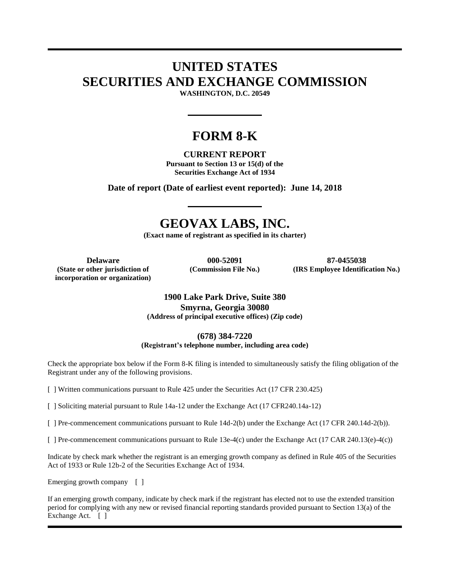# **UNITED STATES SECURITIES AND EXCHANGE COMMISSION**

**WASHINGTON, D.C. 20549** 

## **FORM 8-K**

## **CURRENT REPORT**

**Pursuant to Section 13 or 15(d) of the Securities Exchange Act of 1934** 

**Date of report (Date of earliest event reported): June 14, 2018**

## **GEOVAX LABS, INC.**

**(Exact name of registrant as specified in its charter)** 

**(State or other jurisdiction of incorporation or organization)**

**Delaware 000-52091 87-0455038 (Commission File No.) (IRS Employee Identification No.)**

### **1900 Lake Park Drive, Suite 380 Smyrna, Georgia 30080 (Address of principal executive offices) (Zip code)**

**(678) 384-7220**

**(Registrant's telephone number, including area code)** 

Check the appropriate box below if the Form 8-K filing is intended to simultaneously satisfy the filing obligation of the Registrant under any of the following provisions.

[ ] Written communications pursuant to Rule 425 under the Securities Act (17 CFR 230.425)

[ ] Soliciting material pursuant to Rule 14a-12 under the Exchange Act (17 CFR240.14a-12)

[ ] Pre-commencement communications pursuant to Rule 14d-2(b) under the Exchange Act (17 CFR 240.14d-2(b)).

[ ] Pre-commencement communications pursuant to Rule 13e-4(c) under the Exchange Act (17 CAR 240.13(e)-4(c))

Indicate by check mark whether the registrant is an emerging growth company as defined in Rule 405 of the Securities Act of 1933 or Rule 12b-2 of the Securities Exchange Act of 1934.

Emerging growth company [ ]

If an emerging growth company, indicate by check mark if the registrant has elected not to use the extended transition period for complying with any new or revised financial reporting standards provided pursuant to Section 13(a) of the Exchange Act. [ ]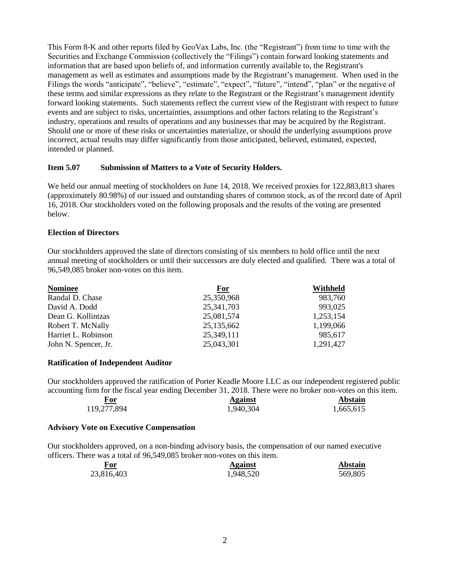This Form 8-K and other reports filed by GeoVax Labs, Inc. (the "Registrant") from time to time with the Securities and Exchange Commission (collectively the "Filings") contain forward looking statements and information that are based upon beliefs of, and information currently available to, the Registrant's management as well as estimates and assumptions made by the Registrant's management. When used in the Filings the words "anticipate", "believe", "estimate", "expect", "future", "intend", "plan" or the negative of these terms and similar expressions as they relate to the Registrant or the Registrant's management identify forward looking statements. Such statements reflect the current view of the Registrant with respect to future events and are subject to risks, uncertainties, assumptions and other factors relating to the Registrant's industry, operations and results of operations and any businesses that may be acquired by the Registrant. Should one or more of these risks or uncertainties materialize, or should the underlying assumptions prove incorrect, actual results may differ significantly from those anticipated, believed, estimated, expected, intended or planned.

### **Item 5.07 Submission of Matters to a Vote of Security Holders.**

We held our annual meeting of stockholders on June 14, 2018. We received proxies for 122,883,813 shares (approximately 80.98%) of our issued and outstanding shares of common stock, as of the record date of April 16, 2018. Our stockholders voted on the following proposals and the results of the voting are presented below.

#### **Election of Directors**

Our stockholders approved the slate of directors consisting of six members to hold office until the next annual meeting of stockholders or until their successors are duly elected and qualified. There was a total of 96,549,085 broker non-votes on this item.

| <b>Nominee</b>       | <b>For</b>   | Withheld  |
|----------------------|--------------|-----------|
| Randal D. Chase      | 25,350,968   | 983.760   |
| David A. Dodd        | 25,341,703   | 993,025   |
| Dean G. Kollintzas   | 25,081,574   | 1,253,154 |
| Robert T. McNally    | 25, 135, 662 | 1,199,066 |
| Harriet L. Robinson  | 25,349,111   | 985,617   |
| John N. Spencer, Jr. | 25,043,301   | 1,291,427 |

#### **Ratification of Independent Auditor**

Our stockholders approved the ratification of Porter Keadle Moore LLC as our independent registered public accounting firm for the fiscal year ending December 31, 2018. There were no broker non-votes on this item.

| For<br>_____ | <b>Against</b> | <b>Abstain</b> |
|--------------|----------------|----------------|
| 119,277,894  | 1,940,304      | 1,665,615      |

#### **Advisory Vote on Executive Compensation**

Our stockholders approved, on a non-binding advisory basis, the compensation of our named executive officers. There was a total of 96,549,085 broker non-votes on this item.

| For        | <b>Against</b> | <b>Abstain</b> |
|------------|----------------|----------------|
| 23,816,403 | 1,948,520      | 569,805        |